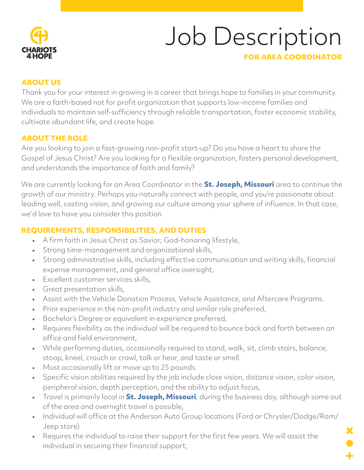

# Job Description

# **FOR AREA COORDINATOR**

# **ABOUT US**

Thank you for your interest in growing in a career that brings hope to families in your community. We are a faith-based not for profit organization that supports low-income families and individuals to maintain self-sufficiency through reliable transportation, foster economic stability, cultivate abundant life, and create hope.

## **ABOUT THE ROLE**

Are you looking to join a fast-growing non-profit start-up? Do you have a heart to share the Gospel of Jesus Christ? Are you looking for a flexible organization, fosters personal development, and understands the importance of faith and family?

We are currently looking for an Area Coordinator in the **St. Joseph, Missouri** area to continue the growth of our ministry. Perhaps you naturally connect with people, and you're passionate about leading well, casting vision, and growing our culture among your sphere of influence. In that case, we'd love to have you consider this position.

## **REQUIREMENTS, RESPONSIBILITIES, AND DUTIES**

- A firm faith in Jesus Christ as Savior; God-honoring lifestyle,
- Strong time-management and organizational skills,
- Strong administrative skills, including effective communication and writing skills, financial expense management, and general office oversight,
- Excellent customer services skills,
- Great presentation skills,
- Assist with the Vehicle Donation Process, Vehicle Assistance, and Aftercare Programs.
- Prior experience in the non-profit industry and similar role preferred,
- Bachelor's Degree or equivalent in experience preferred,
- Requires flexibility as the individual will be required to bounce back and forth between an office and field environment,
- While performing duties, occasionally required to stand, walk, sit, climb stairs, balance, stoop, kneel, crouch or crawl, talk or hear, and taste or smell.
- Must occasionally lift or move up to 25 pounds.
- Specific vision abilities required by the job include close vision, distance vision, color vision, peripheral vision, depth perception, and the ability to adjust focus,
- Travel is primarily local in **St. Joseph, Missouri**, during the business day, although some out of the area and overnight travel is possible,
- Individual will office at the Anderson Auto Group locations (Ford or Chrysler/Dodge/Ram/ Jeep store)
- Requires the individual to raise their support for the first few years. We will assist the individual in securing their financial support,